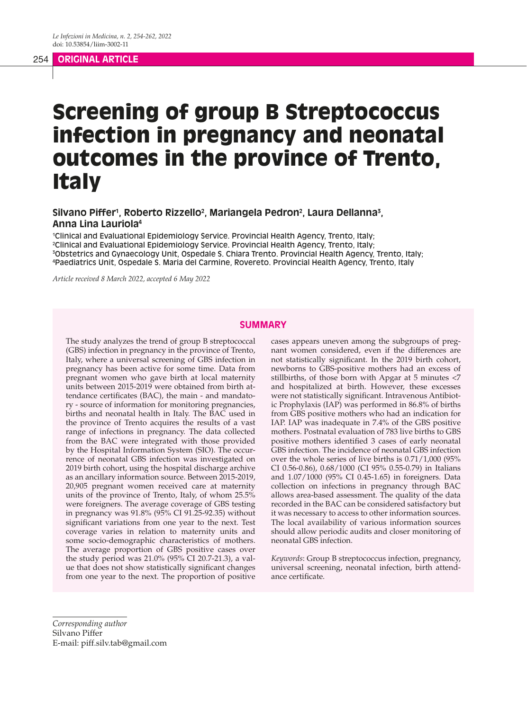# Screening of group B Streptococcus infection in pregnancy and neonatal outcomes in the province of Trento, **Italy**

Silvano Piffer<sup>1</sup>, Roberto Rizzello<sup>2</sup>, Mariangela Pedron<sup>2</sup>, Laura Dellanna<sup>3</sup>, **Anna Lina Lauriola4**

 Clinical and Evaluational Epidemiology Service. Provincial Health Agency, Trento, Italy; Clinical and Evaluational Epidemiology Service. Provincial Health Agency, Trento, Italy; Obstetrics and Gynaecology Unit, Ospedale S. Chiara Trento. Provincial Health Agency, Trento, Italy; Paediatrics Unit, Ospedale S. Maria del Carmine, Rovereto. Provincial Health Agency, Trento, Italy

*Article received 8 March 2022, accepted 6 May 2022*

#### **SUMMARY**

The study analyzes the trend of group B streptococcal (GBS) infection in pregnancy in the province of Trento, Italy, where a universal screening of GBS infection in pregnancy has been active for some time. Data from pregnant women who gave birth at local maternity units between 2015-2019 were obtained from birth attendance certificates (BAC), the main - and mandatory - source of information for monitoring pregnancies, births and neonatal health in Italy. The BAC used in the province of Trento acquires the results of a vast range of infections in pregnancy. The data collected from the BAC were integrated with those provided by the Hospital Information System (SIO). The occurrence of neonatal GBS infection was investigated on 2019 birth cohort, using the hospital discharge archive as an ancillary information source. Between 2015-2019, 20,905 pregnant women received care at maternity units of the province of Trento, Italy, of whom 25.5% were foreigners. The average coverage of GBS testing in pregnancy was 91.8% (95% CI 91.25-92.35) without significant variations from one year to the next. Test coverage varies in relation to maternity units and some socio-demographic characteristics of mothers. The average proportion of GBS positive cases over the study period was 21.0% (95% CI 20.7-21.3), a value that does not show statistically significant changes from one year to the next. The proportion of positive cases appears uneven among the subgroups of pregnant women considered, even if the differences are not statistically significant. In the 2019 birth cohort, newborns to GBS-positive mothers had an excess of stillbirths, of those born with Apgar at 5 minutes <7 and hospitalized at birth. However, these excesses were not statistically significant. Intravenous Antibiotic Prophylaxis (IAP) was performed in 86.8% of births from GBS positive mothers who had an indication for IAP. IAP was inadequate in 7.4% of the GBS positive mothers. Postnatal evaluation of 783 live births to GBS positive mothers identified 3 cases of early neonatal GBS infection. The incidence of neonatal GBS infection over the whole series of live births is 0.71/1,000 (95% CI 0.56-0.86), 0.68/1000 (CI 95% 0.55-0.79) in Italians and 1.07/1000 (95% CI 0.45-1.65) in foreigners. Data collection on infections in pregnancy through BAC allows area-based assessment. The quality of the data recorded in the BAC can be considered satisfactory but it was necessary to access to other information sources. The local availability of various information sources should allow periodic audits and closer monitoring of neonatal GBS infection.

*Keywords*: Group B streptococcus infection, pregnancy, universal screening, neonatal infection, birth attendance certificate.

*Corresponding author* Silvano Piffer E-mail: piff.silv.tab@gmail.com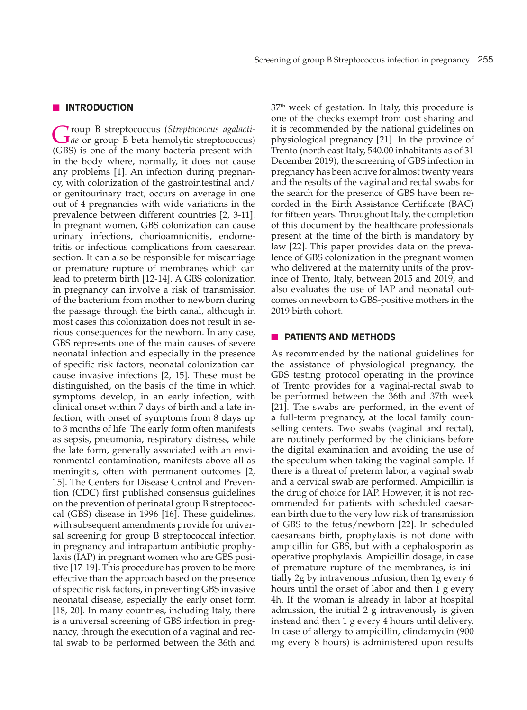#### **N** INTRODUCTION

Group B streptococcus (*Streptococcus agalacti-ae* or group B beta hemolytic streptococcus) (GBS) is one of the many bacteria present within the body where, normally, it does not cause any problems [1]. An infection during pregnancy, with colonization of the gastrointestinal and/ or genitourinary tract, occurs on average in one out of 4 pregnancies with wide variations in the prevalence between different countries [2, 3-11]. In pregnant women, GBS colonization can cause urinary infections, chorioamnionitis, endometritis or infectious complications from caesarean section. It can also be responsible for miscarriage or premature rupture of membranes which can lead to preterm birth [12-14]. A GBS colonization in pregnancy can involve a risk of transmission of the bacterium from mother to newborn during the passage through the birth canal, although in most cases this colonization does not result in serious consequences for the newborn. In any case, GBS represents one of the main causes of severe neonatal infection and especially in the presence of specific risk factors, neonatal colonization can cause invasive infections [2, 15]. These must be distinguished, on the basis of the time in which symptoms develop, in an early infection, with clinical onset within 7 days of birth and a late infection, with onset of symptoms from 8 days up to 3 months of life. The early form often manifests as sepsis, pneumonia, respiratory distress, while the late form, generally associated with an environmental contamination, manifests above all as meningitis, often with permanent outcomes [2, 15]. The Centers for Disease Control and Prevention (CDC) first published consensus guidelines on the prevention of perinatal group B streptococcal (GBS) disease in 1996 [16]. These guidelines, with subsequent amendments provide for universal screening for group B streptococcal infection in pregnancy and intrapartum antibiotic prophylaxis (IAP) in pregnant women who are GBS positive [17-19]. This procedure has proven to be more effective than the approach based on the presence of specific risk factors, in preventing GBS invasive neonatal disease, especially the early onset form [18, 20]. In many countries, including Italy, there is a universal screening of GBS infection in pregnancy, through the execution of a vaginal and rectal swab to be performed between the 36th and

 $37<sup>th</sup>$  week of gestation. In Italy, this procedure is one of the checks exempt from cost sharing and it is recommended by the national guidelines on physiological pregnancy [21]. In the province of Trento (north east Italy, 540.00 inhabitants as of 31 December 2019), the screening of GBS infection in pregnancy has been active for almost twenty years and the results of the vaginal and rectal swabs for the search for the presence of GBS have been recorded in the Birth Assistance Certificate (BAC) for fifteen years. Throughout Italy, the completion of this document by the healthcare professionals present at the time of the birth is mandatory by law [22]. This paper provides data on the prevalence of GBS colonization in the pregnant women who delivered at the maternity units of the province of Trento, Italy, between 2015 and 2019, and also evaluates the use of IAP and neonatal outcomes on newborn to GBS-positive mothers in the 2019 birth cohort.

## **NO PATIENTS AND METHODS**

As recommended by the national guidelines for the assistance of physiological pregnancy, the GBS testing protocol operating in the province of Trento provides for a vaginal-rectal swab to be performed between the 36th and 37th week [21]. The swabs are performed, in the event of a full-term pregnancy, at the local family counselling centers. Two swabs (vaginal and rectal), are routinely performed by the clinicians before the digital examination and avoiding the use of the speculum when taking the vaginal sample. If there is a threat of preterm labor, a vaginal swab and a cervical swab are performed. Ampicillin is the drug of choice for IAP. However, it is not recommended for patients with scheduled caesarean birth due to the very low risk of transmission of GBS to the fetus/newborn [22]. In scheduled caesareans birth, prophylaxis is not done with ampicillin for GBS, but with a cephalosporin as operative prophylaxis. Ampicillin dosage, in case of premature rupture of the membranes, is initially 2g by intravenous infusion, then 1g every 6 hours until the onset of labor and then 1 g every 4h. If the woman is already in labor at hospital admission, the initial 2 g intravenously is given instead and then 1 g every 4 hours until delivery. In case of allergy to ampicillin, clindamycin (900 mg every 8 hours) is administered upon results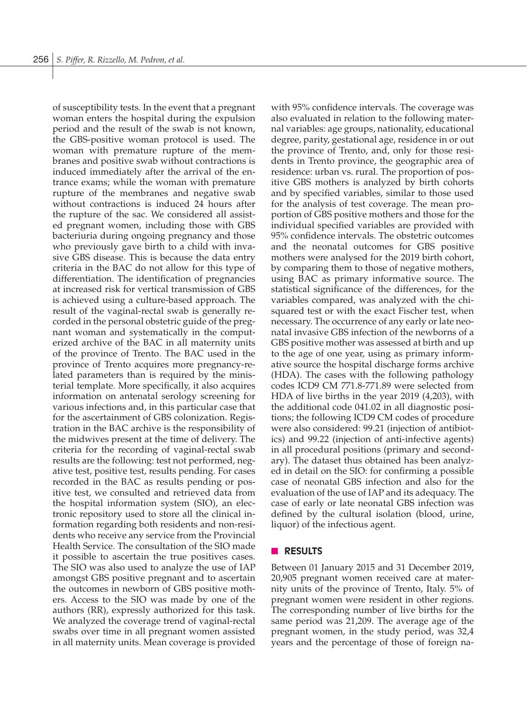of susceptibility tests. In the event that a pregnant woman enters the hospital during the expulsion period and the result of the swab is not known, the GBS-positive woman protocol is used. The woman with premature rupture of the membranes and positive swab without contractions is induced immediately after the arrival of the entrance exams; while the woman with premature rupture of the membranes and negative swab without contractions is induced 24 hours after the rupture of the sac. We considered all assisted pregnant women, including those with GBS bacteriuria during ongoing pregnancy and those who previously gave birth to a child with invasive GBS disease. This is because the data entry criteria in the BAC do not allow for this type of differentiation. The identification of pregnancies at increased risk for vertical transmission of GBS is achieved using a culture-based approach. The result of the vaginal-rectal swab is generally recorded in the personal obstetric guide of the pregnant woman and systematically in the computerized archive of the BAC in all maternity units of the province of Trento. The BAC used in the province of Trento acquires more pregnancy-related parameters than is required by the ministerial template. More specifically, it also acquires information on antenatal serology screening for various infections and, in this particular case that for the ascertainment of GBS colonization. Registration in the BAC archive is the responsibility of the midwives present at the time of delivery. The criteria for the recording of vaginal-rectal swab results are the following: test not performed, negative test, positive test, results pending. For cases recorded in the BAC as results pending or positive test, we consulted and retrieved data from the hospital information system (SIO), an electronic repository used to store all the clinical information regarding both residents and non-residents who receive any service from the Provincial Health Service. The consultation of the SIO made it possible to ascertain the true positives cases. The SIO was also used to analyze the use of IAP amongst GBS positive pregnant and to ascertain the outcomes in newborn of GBS positive mothers. Access to the SIO was made by one of the authors (RR), expressly authorized for this task. We analyzed the coverage trend of vaginal-rectal swabs over time in all pregnant women assisted in all maternity units. Mean coverage is provided

with 95% confidence intervals. The coverage was also evaluated in relation to the following maternal variables: age groups, nationality, educational degree, parity, gestational age, residence in or out the province of Trento, and, only for those residents in Trento province, the geographic area of residence: urban vs. rural. The proportion of positive GBS mothers is analyzed by birth cohorts and by specified variables, similar to those used for the analysis of test coverage. The mean proportion of GBS positive mothers and those for the individual specified variables are provided with 95% confidence intervals. The obstetric outcomes and the neonatal outcomes for GBS positive mothers were analysed for the 2019 birth cohort, by comparing them to those of negative mothers, using BAC as primary informative source. The statistical significance of the differences, for the variables compared, was analyzed with the chisquared test or with the exact Fischer test, when necessary. The occurrence of any early or late neonatal invasive GBS infection of the newborns of a GBS positive mother was assessed at birth and up to the age of one year, using as primary informative source the hospital discharge forms archive (HDA). The cases with the following pathology codes ICD9 CM 771.8-771.89 were selected from HDA of live births in the year 2019 (4,203), with the additional code 041.02 in all diagnostic positions; the following ICD9 CM codes of procedure were also considered: 99.21 (injection of antibiotics) and 99.22 (injection of anti-infective agents) in all procedural positions (primary and secondary). The dataset thus obtained has been analyzed in detail on the SIO: for confirming a possible case of neonatal GBS infection and also for the evaluation of the use of IAP and its adequacy. The case of early or late neonatal GBS infection was defined by the cultural isolation (blood, urine, liquor) of the infectious agent.

### **n RESULTS**

Between 01 January 2015 and 31 December 2019, 20,905 pregnant women received care at maternity units of the province of Trento, Italy. 5% of pregnant women were resident in other regions. The corresponding number of live births for the same period was 21,209. The average age of the pregnant women, in the study period, was 32,4 years and the percentage of those of foreign na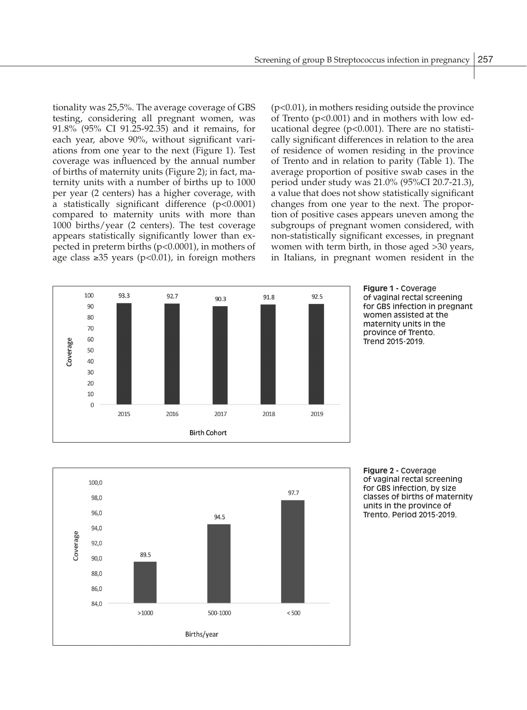tionality was 25,5%. The average coverage of GBS testing, considering all pregnant women, was 91.8% (95% CI 91.25-92.35) and it remains, for each year, above 90%, without significant variations from one year to the next (Figure 1). Test coverage was influenced by the annual number of births of maternity units (Figure 2); in fact, maternity units with a number of births up to 1000 per year (2 centers) has a higher coverage, with a statistically significant difference (p<0.0001) compared to maternity units with more than 1000 births/year (2 centers). The test coverage appears statistically significantly lower than expected in preterm births (p<0.0001), in mothers of age class  $\geq 35$  years (p<0.01), in foreign mothers (p<0.01), in mothers residing outside the province of Trento  $(p<0.001)$  and in mothers with low educational degree (p<0.001). There are no statistically significant differences in relation to the area of residence of women residing in the province of Trento and in relation to parity (Table 1). The average proportion of positive swab cases in the period under study was 21.0% (95%CI 20.7-21.3), a value that does not show statistically significant changes from one year to the next. The proportion of positive cases appears uneven among the subgroups of pregnant women considered, with non-statistically significant excesses, in pregnant women with term birth, in those aged >30 years, in Italians, in pregnant women resident in the







**Figure 2 -** Coverage of vaginal rectal screening for GBS infection, by size classes of births of maternity units in the province of Trento. Period 2015-2019.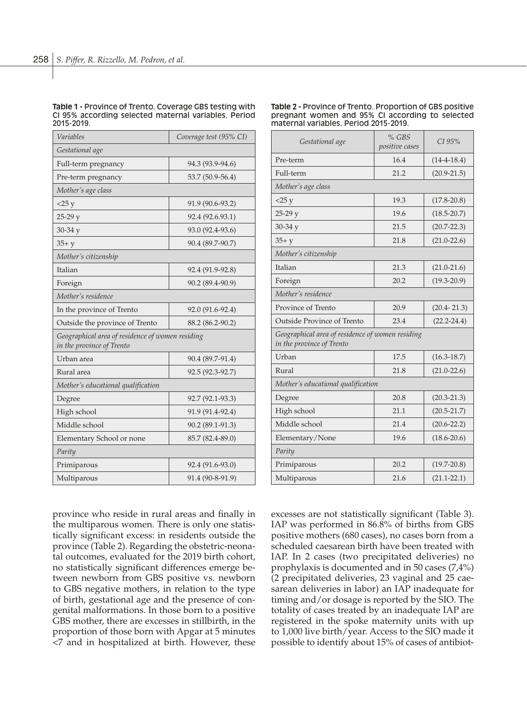#### **Table 1 -** Province of Trento. Coverage GBS testing with CI 95% according selected maternal variables. Period 2015-2019.

| Variables                                                                     | Coverage test (95% CI) |  |  |
|-------------------------------------------------------------------------------|------------------------|--|--|
| Gestational age                                                               |                        |  |  |
| Full-term pregnancy                                                           | 94.3 (93.9-94.6)       |  |  |
| Pre-term pregnancy                                                            | 53.7 (50.9-56.4)       |  |  |
| Mother's age class                                                            |                        |  |  |
| $<$ 25 y                                                                      | 91.9 (90.6-93.2)       |  |  |
| $25-29y$                                                                      | 92.4 (92.6.93.1)       |  |  |
| $30-34y$                                                                      | 93.0 (92.4-93.6)       |  |  |
| $35 + y$                                                                      | 90.4 (89.7-90.7)       |  |  |
| Mother's citizenship                                                          |                        |  |  |
| Italian                                                                       | 92.4 (91.9-92.8)       |  |  |
| Foreign                                                                       | 90.2 (89.4-90.9)       |  |  |
| Mother's residence                                                            |                        |  |  |
| In the province of Trento                                                     | 92.0 (91.6-92.4)       |  |  |
| Outside the province of Trento                                                | 88.2 (86.2-90.2)       |  |  |
| Geographical area of residence of women residing<br>in the province of Trento |                        |  |  |
| Urban area                                                                    | 90.4 (89.7-91.4)       |  |  |
| Rural area                                                                    | 92.5 (92.3-92.7)       |  |  |
| Mother's educational qualification                                            |                        |  |  |
| Degree                                                                        | 92.7 (92.1-93.3)       |  |  |
| High school                                                                   | 91.9 (91.4-92.4)       |  |  |
| Middle school                                                                 | 90.2 (89.1-91.3)       |  |  |
| Elementary School or none                                                     | 85.7 (82.4-89.0)       |  |  |
| Parity                                                                        |                        |  |  |
| Primiparous                                                                   | 92.4 (91.6-93.0)       |  |  |
| Multiparous                                                                   | 91.4 (90-8-91.9)       |  |  |

#### **Table 2 -** Province of Trento. Proportion of GBS positive pregnant women and 95% CI according to selected maternal variables. Period 2015-2019.

| Gestational age                                                               | $%$ GBS<br>positive cases | $CI$ 95%        |  |  |
|-------------------------------------------------------------------------------|---------------------------|-----------------|--|--|
| Pre-term                                                                      | 16.4                      | $(14-4-18.4)$   |  |  |
| Full-term                                                                     | 21.2                      | $(20.9 - 21.5)$ |  |  |
| Mother's age class                                                            |                           |                 |  |  |
| $<$ 25 y                                                                      | 19.3                      | $(17.8 - 20.8)$ |  |  |
| $25-29y$                                                                      | 19.6                      | $(18.5 - 20.7)$ |  |  |
| $30 - 34y$                                                                    | 21.5                      | $(20.7 - 22.3)$ |  |  |
| $35 + y$                                                                      | 21.8                      | $(21.0 - 22.6)$ |  |  |
| Mother's citizenship                                                          |                           |                 |  |  |
| Italian                                                                       | 21.3                      | $(21.0 - 21.6)$ |  |  |
| Foreign                                                                       | 20.2                      | $(19.3 - 20.9)$ |  |  |
| Mother's residence                                                            |                           |                 |  |  |
| Province of Trento                                                            | 20.9                      | $(20.4 - 21.3)$ |  |  |
| Outside Province of Trento                                                    | 23.4                      | $(22.2 - 24.4)$ |  |  |
| Geographical area of residence of women residing<br>in the province of Trento |                           |                 |  |  |
| Urban                                                                         | 17.5                      | $(16.3 - 18.7)$ |  |  |
| Rural                                                                         | 21.8                      | $(21.0 - 22.6)$ |  |  |
| Mother's educational qualification                                            |                           |                 |  |  |
| Degree                                                                        | 20.8                      | $(20.3 - 21.3)$ |  |  |
| High school                                                                   | 21.1                      | $(20.5 - 21.7)$ |  |  |
| Middle school                                                                 | 21.4                      | $(20.6 - 22.2)$ |  |  |
| Elementary/None                                                               | 19.6                      | $(18.6 - 20.6)$ |  |  |
| Parity                                                                        |                           |                 |  |  |
| Primiparous                                                                   | 20.2                      | $(19.7 - 20.8)$ |  |  |
| Multiparous                                                                   | 21.6                      | $(21.1 - 22.1)$ |  |  |

province who reside in rural areas and finally in the multiparous women. There is only one statistically significant excess: in residents outside the province (Table 2). Regarding the obstetric-neonatal outcomes, evaluated for the 2019 birth cohort, no statistically significant differences emerge between newborn from GBS positive vs. newborn to GBS negative mothers, in relation to the type of birth, gestational age and the presence of congenital malformations. In those born to a positive GBS mother, there are excesses in stillbirth, in the proportion of those born with Apgar at 5 minutes <7 and in hospitalized at birth. However, these excesses are not statistically significant (Table 3). IAP was performed in 86.8% of births from GBS positive mothers (680 cases), no cases born from a scheduled caesarean birth have been treated with IAP. In 2 cases (two precipitated deliveries) no prophylaxis is documented and in 50 cases (7,4%) (2 precipitated deliveries, 23 vaginal and 25 caesarean deliveries in labor) an IAP inadequate for timing and/or dosage is reported by the SIO. The totality of cases treated by an inadequate IAP are registered in the spoke maternity units with up to 1,000 live birth/year. Access to the SIO made it possible to identify about 15% of cases of antibiot-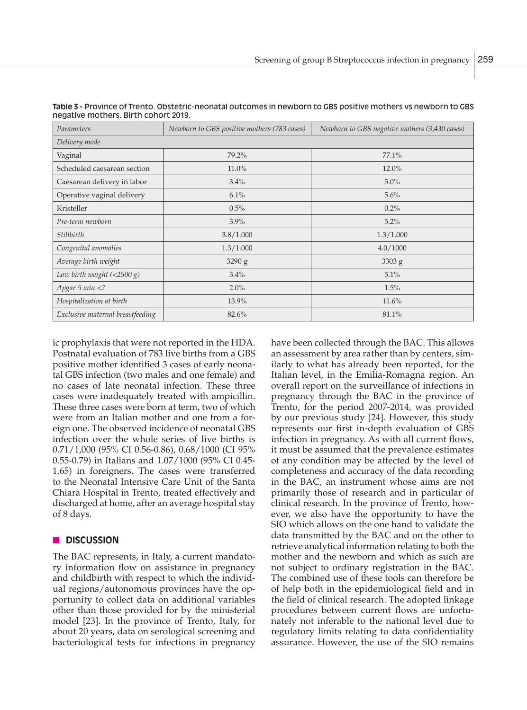| Parameters                                 | Newborn to GBS positive mothers (783 cases) | Newborn to GBS negative mothers (3,430 cases) |  |  |
|--------------------------------------------|---------------------------------------------|-----------------------------------------------|--|--|
| Delivery mode                              |                                             |                                               |  |  |
| Vaginal                                    | 79.2%                                       | 77.1%                                         |  |  |
| Scheduled caesarean section                | 11.0%                                       | 12.0%                                         |  |  |
| Caesarean delivery in labor                | 3.4%                                        | 5.0%                                          |  |  |
| Operative vaginal delivery                 | 6.1%                                        | 5.6%                                          |  |  |
| Kristeller                                 | 0.5%                                        | $0.2\%$                                       |  |  |
| Pre-term newborn                           | 3.9%                                        | 5.2%                                          |  |  |
| Stillbirth                                 | 3.8/1.000                                   | 1.3/1.000                                     |  |  |
| Congenital anomalies                       | 1.3/1.000                                   | 4.0/1000                                      |  |  |
| Average birth weight                       | 3290 g                                      | 3303 g                                        |  |  |
| Low birth weight $\left( < 2500 g \right)$ | 3.4%                                        | 5.1%                                          |  |  |
| Apgar 5 min <7                             | 2.0%                                        | 1.5%                                          |  |  |
| Hospitalization at birth                   | 13.9%                                       | 11.6%                                         |  |  |
| Exclusive maternal breastfeeding           | 82.6%                                       | 81.1%                                         |  |  |

**Table 3 -** Province of Trento. Obstetric-neonatal outcomes in newborn to GBS positive mothers vs newborn to GBS negative mothers. Birth cohort 2019.

ic prophylaxis that were not reported in the HDA. Postnatal evaluation of 783 live births from a GBS positive mother identified 3 cases of early neonatal GBS infection (two males and one female) and no cases of late neonatal infection. These three cases were inadequately treated with ampicillin. These three cases were born at term, two of which were from an Italian mother and one from a foreign one. The observed incidence of neonatal GBS infection over the whole series of live births is 0.71/1,000 (95% CI 0.56-0.86), 0.68/1000 (CI 95% 0.55-0.79) in Italians and 1.07/1000 (95% CI 0.45- 1.65) in foreigners. The cases were transferred to the Neonatal Intensive Care Unit of the Santa Chiara Hospital in Trento, treated effectively and discharged at home, after an average hospital stay of 8 days.

# **n** DISCUSSION

The BAC represents, in Italy, a current mandatory information flow on assistance in pregnancy and childbirth with respect to which the individual regions/autonomous provinces have the opportunity to collect data on additional variables other than those provided for by the ministerial model [23]. In the province of Trento, Italy, for about 20 years, data on serological screening and bacteriological tests for infections in pregnancy have been collected through the BAC. This allows an assessment by area rather than by centers, similarly to what has already been reported, for the Italian level, in the Emilia-Romagna region. An overall report on the surveillance of infections in pregnancy through the BAC in the province of Trento, for the period 2007-2014, was provided by our previous study [24]. However, this study represents our first in-depth evaluation of GBS infection in pregnancy. As with all current flows, it must be assumed that the prevalence estimates of any condition may be affected by the level of completeness and accuracy of the data recording in the BAC, an instrument whose aims are not primarily those of research and in particular of clinical research. In the province of Trento, however, we also have the opportunity to have the SIO which allows on the one hand to validate the data transmitted by the BAC and on the other to retrieve analytical information relating to both the mother and the newborn and which as such are not subject to ordinary registration in the BAC. The combined use of these tools can therefore be of help both in the epidemiological field and in the field of clinical research. The adopted linkage procedures between current flows are unfortunately not inferable to the national level due to regulatory limits relating to data confidentiality assurance. However, the use of the SIO remains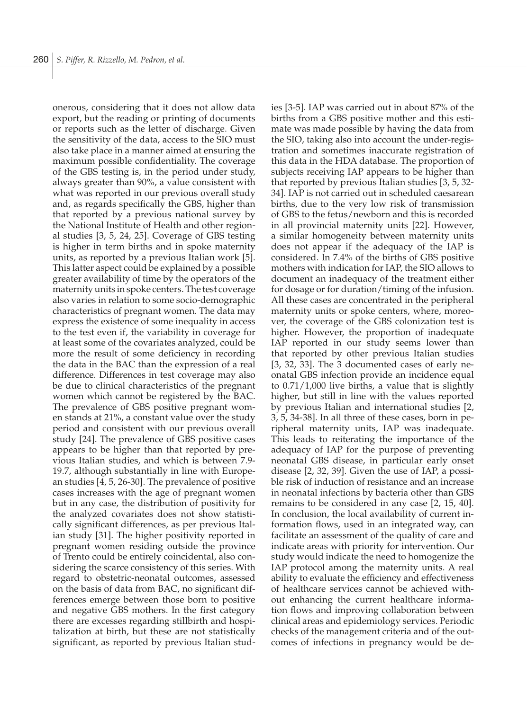onerous, considering that it does not allow data export, but the reading or printing of documents or reports such as the letter of discharge. Given the sensitivity of the data, access to the SIO must also take place in a manner aimed at ensuring the maximum possible confidentiality. The coverage of the GBS testing is, in the period under study, always greater than 90%, a value consistent with what was reported in our previous overall study and, as regards specifically the GBS, higher than that reported by a previous national survey by the National Institute of Health and other regional studies [3, 5, 24, 25]. Coverage of GBS testing is higher in term births and in spoke maternity units, as reported by a previous Italian work [5]. This latter aspect could be explained by a possible greater availability of time by the operators of the maternity units in spoke centers. The test coverage also varies in relation to some socio-demographic characteristics of pregnant women. The data may express the existence of some inequality in access to the test even if, the variability in coverage for at least some of the covariates analyzed, could be more the result of some deficiency in recording the data in the BAC than the expression of a real difference. Differences in test coverage may also be due to clinical characteristics of the pregnant women which cannot be registered by the BAC. The prevalence of GBS positive pregnant women stands at 21%, a constant value over the study period and consistent with our previous overall study [24]. The prevalence of GBS positive cases appears to be higher than that reported by previous Italian studies, and which is between 7.9- 19.7, although substantially in line with European studies [4, 5, 26-30]. The prevalence of positive cases increases with the age of pregnant women but in any case, the distribution of positivity for the analyzed covariates does not show statistically significant differences, as per previous Italian study [31]. The higher positivity reported in pregnant women residing outside the province of Trento could be entirely coincidental, also considering the scarce consistency of this series. With regard to obstetric-neonatal outcomes, assessed on the basis of data from BAC, no significant differences emerge between those born to positive and negative GBS mothers. In the first category there are excesses regarding stillbirth and hospitalization at birth, but these are not statistically significant, as reported by previous Italian studies [3-5]. IAP was carried out in about 87% of the births from a GBS positive mother and this estimate was made possible by having the data from the SIO, taking also into account the under-registration and sometimes inaccurate registration of this data in the HDA database. The proportion of subjects receiving IAP appears to be higher than that reported by previous Italian studies [3, 5, 32- 34]. IAP is not carried out in scheduled caesarean births, due to the very low risk of transmission of GBS to the fetus/newborn and this is recorded in all provincial maternity units [22]. However, a similar homogeneity between maternity units does not appear if the adequacy of the IAP is considered. In 7.4% of the births of GBS positive mothers with indication for IAP, the SIO allows to document an inadequacy of the treatment either for dosage or for duration/timing of the infusion. All these cases are concentrated in the peripheral maternity units or spoke centers, where, moreover, the coverage of the GBS colonization test is higher. However, the proportion of inadequate IAP reported in our study seems lower than that reported by other previous Italian studies [3, 32, 33]. The 3 documented cases of early neonatal GBS infection provide an incidence equal to 0.71/1,000 live births, a value that is slightly higher, but still in line with the values reported by previous Italian and international studies [2, 3, 5, 34-38]. In all three of these cases, born in peripheral maternity units, IAP was inadequate. This leads to reiterating the importance of the adequacy of IAP for the purpose of preventing neonatal GBS disease, in particular early onset disease [2, 32, 39]. Given the use of IAP, a possible risk of induction of resistance and an increase in neonatal infections by bacteria other than GBS remains to be considered in any case [2, 15, 40]. In conclusion, the local availability of current information flows, used in an integrated way, can facilitate an assessment of the quality of care and indicate areas with priority for intervention. Our study would indicate the need to homogenize the IAP protocol among the maternity units. A real ability to evaluate the efficiency and effectiveness of healthcare services cannot be achieved without enhancing the current healthcare information flows and improving collaboration between clinical areas and epidemiology services. Periodic checks of the management criteria and of the outcomes of infections in pregnancy would be de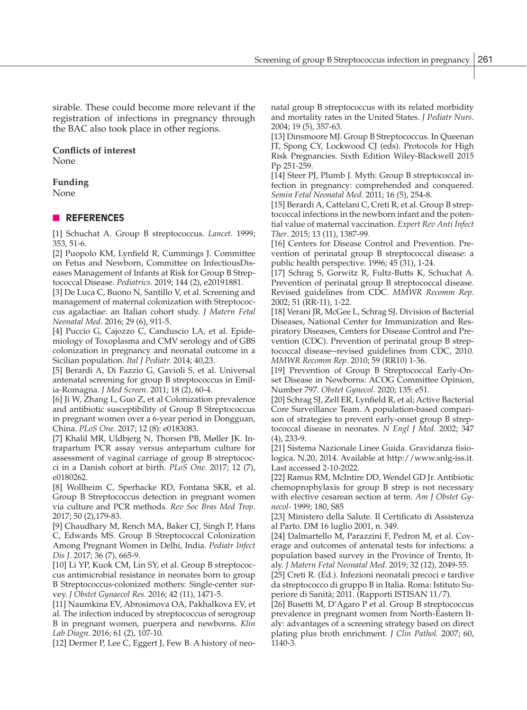sirable. These could become more relevant if the registration of infections in pregnancy through the BAC also took place in other regions.

# **Conflicts of interest**

None

# **Funding**

None

# n **REFERENCES**

[1] Schuchat A. Group B streptococcus. *Lancet.* 1999; 353, 51-6.

[2] Puopolo KM, Lynfield R, Cummings J. Committee on Fetus and Newborn, Committee on InfectiousDiseases Management of Infants at Risk for Group B Streptococcal Disease. *Pediatrics.* 2019; 144 (2), e20191881.

[3] De Luca C, Buono N, Santillo V, et al. Screening and management of maternal colonization with Streptococcus agalactiae: an Italian cohort study. *J Matern Fetal Neonatal Med*. 2016; 29 (6), 911-5.

[4] Puccio G, Cajozzo C, Canduscio LA, et al. Epidemiology of Toxoplasma and CMV serology and of GBS colonization in pregnancy and neonatal outcome in a Sicilian population. *Ital J Pediatr.* 2014; 40,23.

[5] Berardi A, Di Fazzio G, Gavioli S, et al. Universal antenatal screening for group B streptococcus in Emilia-Romagna. *J Med Screen.* 2011; 18 (2), 60-4.

[6] Ji W, Zhang L, Guo Z, et al Colonization prevalence and antibiotic susceptibility of Group B Streptococcus in pregnant women over a 6-year period in Dongguan, China. *PLoS One.* 2017; 12 (8): e0183083.

[7] Khalil MR, Uldbjerg N, Thorsen PB, Møller JK. Intrapartum PCR assay versus antepartum culture for assessment of vaginal carriage of group B streptococci in a Danish cohort at birth. *PLoS One*. 2017; 12 (7), e0180262.

[8] Wollheim C, Sperhacke RD, Fontana SKR, et al. Group B Streptococcus detection in pregnant women via culture and PCR methods. *Rev Soc Bras Med Trop*. 2017; 50 (2),179-83.

[9] Chaudhary M, Rench MA, Baker CJ, Singh P, Hans C, Edwards MS. Group B Streptococcal Colonization Among Pregnant Women in Delhi, India. *Pediatr Infect Dis J.* 2017; 36 (7), 665-9.

[10] Li YP, Kuok CM, Lin SY, et al. Group B streptococcus antimicrobial resistance in neonates born to group B Streptococcus-colonized mothers: Single-center survey. *J Obstet Gynaecol Res.* 2016; 42 (11), 1471-5.

[11] Naumkina EV, Abrosimova OA, Pakhalkova EV, et al. The infection induced by streptococcus of serogroup B in pregnant women, puerpera and newborns. *Klin Lab Diagn*. 2016; 61 (2), 107-10.

[12] Dermer P, Lee C, Eggert J, Few B. A history of neo-

natal group B streptococcus with its related morbidity and mortality rates in the United States. *J Pediatr Nurs*. 2004; 19 (5), 357-63.

[13] Dinsmoore MJ. Group B Streptococcus. In Queenan JT, Spong CY, Lockwood CJ (eds). Protocols for High Risk Pregnancies. Sixth Edition Wiley-Blackwell 2015 Pp 251-259.

[14] Steer PJ, Plumb J. Myth: Group B streptococcal infection in pregnancy: comprehended and conquered. *Semin Fetal Neonatal Med*. 2011; 16 (5), 254-8.

[15] Berardi A, Cattelani C, Creti R, et al. Group B streptococcal infections in the newborn infant and the potential value of maternal vaccination. *Expert Rev Anti Infect Ther*. 2015; 13 (11), 1387-99.

[16] Centers for Disease Control and Prevention. Prevention of perinatal group B streptococcal disease: a public health perspective. 1996; 45 (31), 1-24.

[17] Schrag S, Gorwitz R, Fultz-Butts K, Schuchat A. Prevention of perinatal group B streptococcal disease. Revised guidelines from CDC. *MMWR Recomm Rep*. 2002; 51 (RR-11), 1-22.

[18] Verani JR, McGee L, Schrag SJ. Division of Bacterial Diseases, National Center for Immunization and Respiratory Diseases, Centers for Disease Control and Prevention (CDC). Prevention of perinatal group B streptococcal disease--revised guidelines from CDC, 2010. *MMWR Recomm Rep.* 2010; 59 (RR10) 1-36.

[19] Prevention of Group B Streptococcal Early-Onset Disease in Newborns: ACOG Committee Opinion, Number 797. *Obstet Gynecol.* 2020; 135: e51.

[20] Schrag SJ, Zell ER, Lynfield R, et al; Active Bacterial Core Surveillance Team. A population-based comparison of strategies to prevent early-onset group B streptococcal disease in neonates. *N Engl J Med.* 2002; 347 (4), 233-9.

[21] Sistema Nazionale Linee Guida. Gravidanza fisiologica. N.20, 2014. Available at http://www.snlg-iss.it. Last accessed 2-10-2022.

[22] Ramus RM, McIntire DD, Wendel GD Jr. Antibiotic chemoprophylaxis for group B strep is not necessary with elective cesarean section at term. *Am J Obstet Gynecol-* 1999; 180, S85

[23] Ministero della Salute. Il Certificato di Assistenza al Parto. DM 16 luglio 2001, n. 349.

[24] Dalmartello M, Parazzini F, Pedron M, et al. Coverage and outcomes of antenatal tests for infections: a population based survey in the Province of Trento, Italy. *J Matern Fetal Neonatal Med*. 2019; 32 (12), 2049-55.

[25] Creti R. (Ed.). Infezioni neonatali precoci e tardive da streptococco di gruppo B in Italia. Roma: Istituto Superiore di Sanità; 2011. (Rapporti ISTISAN 11/7).

[26] Busetti M, D'Agaro P et al. Group B streptococcus prevalence in pregnant women from North-Eastern Italy: advantages of a screening strategy based on direct plating plus broth enrichment. *J Clin Pathol.* 2007; 60, 1140-3.